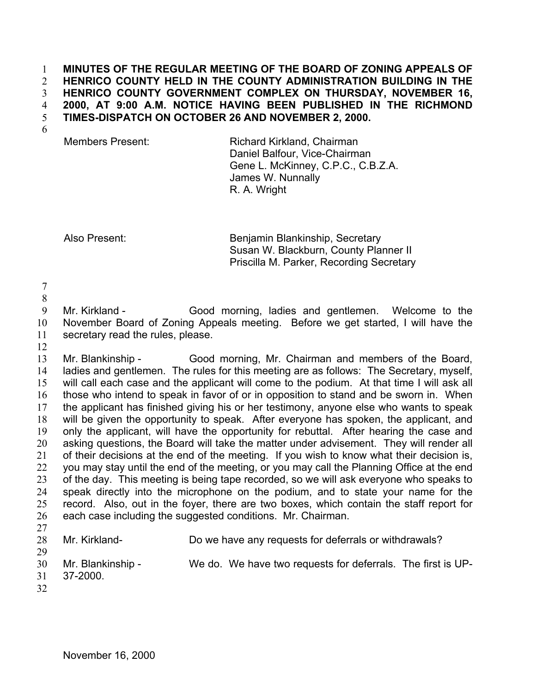## **MINUTES OF THE REGULAR MEETING OF THE BOARD OF ZONING APPEALS OF HENRICO COUNTY HELD IN THE COUNTY ADMINISTRATION BUILDING IN THE HENRICO COUNTY GOVERNMENT COMPLEX ON THURSDAY, NOVEMBER 16, 2000, AT 9:00 A.M. NOTICE HAVING BEEN PUBLISHED IN THE RICHMOND TIMES-DISPATCH ON OCTOBER 26 AND NOVEMBER 2, 2000.**  1  $2<sup>1</sup>$ 3 4 5

6

Members Present: Richard Kirkland, Chairman Daniel Balfour, Vice-Chairman Gene L. McKinney, C.P.C., C.B.Z.A. James W. Nunnally R. A. Wright

Also Present: Benjamin Blankinship, Secretary Susan W. Blackburn, County Planner II Priscilla M. Parker, Recording Secretary

7 8

9 10 11 Mr. Kirkland - Good morning, ladies and gentlemen. Welcome to the November Board of Zoning Appeals meeting. Before we get started, I will have the secretary read the rules, please.

12

13 14 15 16 17 18 19 20 21 22 23 24 25 26 Mr. Blankinship - Good morning, Mr. Chairman and members of the Board, ladies and gentlemen. The rules for this meeting are as follows: The Secretary, myself, will call each case and the applicant will come to the podium. At that time I will ask all those who intend to speak in favor of or in opposition to stand and be sworn in. When the applicant has finished giving his or her testimony, anyone else who wants to speak will be given the opportunity to speak. After everyone has spoken, the applicant, and only the applicant, will have the opportunity for rebuttal. After hearing the case and asking questions, the Board will take the matter under advisement. They will render all of their decisions at the end of the meeting. If you wish to know what their decision is, you may stay until the end of the meeting, or you may call the Planning Office at the end of the day. This meeting is being tape recorded, so we will ask everyone who speaks to speak directly into the microphone on the podium, and to state your name for the record. Also, out in the foyer, there are two boxes, which contain the staff report for each case including the suggested conditions. Mr. Chairman.

27

28

Mr. Kirkland- Do we have any requests for deferrals or withdrawals?

29 30

Mr. Blankinship - We do. We have two requests for deferrals. The first is UP-

- 31 37-2000.
- 32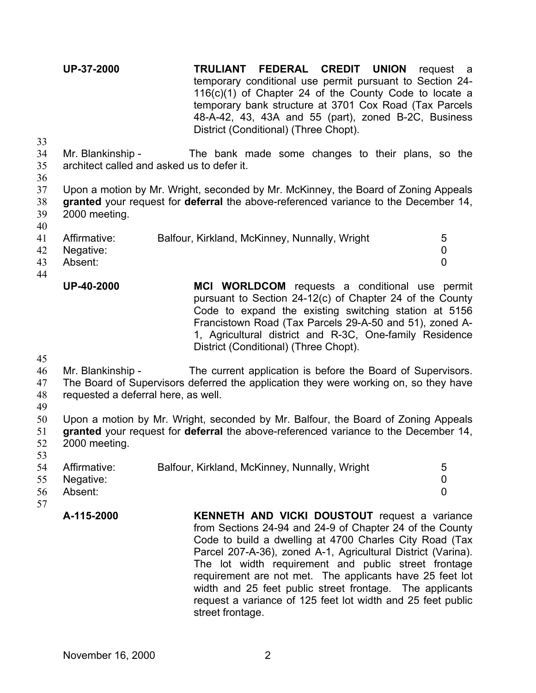**UP-37-2000 TRULIANT FEDERAL CREDIT UNION** request a temporary conditional use permit pursuant to Section 24- 116(c)(1) of Chapter 24 of the County Code to locate a temporary bank structure at 3701 Cox Road (Tax Parcels 48-A-42, 43, 43A and 55 (part), zoned B-2C, Business District (Conditional) (Three Chopt).

- 34 35 Mr. Blankinship - The bank made some changes to their plans, so the architect called and asked us to defer it.
- 36

33

37 Upon a motion by Mr. Wright, seconded by Mr. McKinney, the Board of Zoning Appeals

38 39 **granted** your request for **deferral** the above-referenced variance to the December 14, 2000 meeting.

40

| 41 Affirmative: | Balfour, Kirkland, McKinney, Nunnally, Wright |  |
|-----------------|-----------------------------------------------|--|
| 42 Negative:    |                                               |  |
| 43 Absent:      |                                               |  |

44

| <b>UP-40-2000</b> | MCI WORLDCOM requests a conditional use permit           |
|-------------------|----------------------------------------------------------|
|                   | pursuant to Section 24-12(c) of Chapter 24 of the County |
|                   | Code to expand the existing switching station at 5156    |
|                   | Francistown Road (Tax Parcels 29-A-50 and 51), zoned A-  |
|                   | 1. Agricultural district and R-3C. One-family Residence  |
|                   | District (Conditional) (Three Chopt).                    |

45

46 Mr. Blankinship - The current application is before the Board of Supervisors.

47 The Board of Supervisors deferred the application they were working on, so they have

- 48 requested a deferral here, as well.
- 49

53

50 51 52 Upon a motion by Mr. Wright, seconded by Mr. Balfour, the Board of Zoning Appeals **granted** your request for **deferral** the above-referenced variance to the December 14, 2000 meeting.

- 54 55 56 57 Affirmative: Balfour, Kirkland, McKinney, Nunnally, Wright 5 Negative: 0 Absent: 0
- **A-115-2000 KENNETH AND VICKI DOUSTOUT** request a variance from Sections 24-94 and 24-9 of Chapter 24 of the County Code to build a dwelling at 4700 Charles City Road (Tax Parcel 207-A-36), zoned A-1, Agricultural District (Varina). The lot width requirement and public street frontage requirement are not met. The applicants have 25 feet lot width and 25 feet public street frontage. The applicants request a variance of 125 feet lot width and 25 feet public street frontage.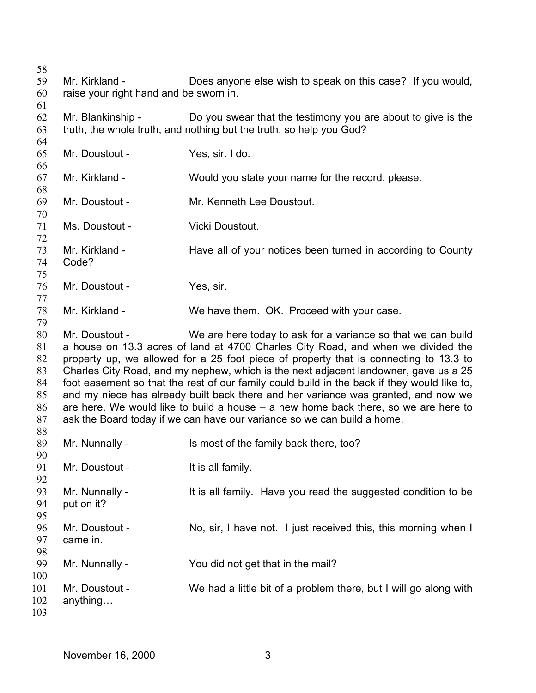Mr. Kirkland - Does anyone else wish to speak on this case? If you would, raise your right hand and be sworn in. Mr. Blankinship - Do you swear that the testimony you are about to give is the truth, the whole truth, and nothing but the truth, so help you God? Mr. Doustout - Yes, sir. I do. Mr. Kirkland - Would you state your name for the record, please. Mr. Doustout - Mr. Kenneth Lee Doustout. Ms. Doustout - Vicki Doustout. Mr. Kirkland - Have all of your notices been turned in according to County Code? Mr. Doustout - Yes, sir. Mr. Kirkland - We have them. OK. Proceed with your case. Mr. Doustout - We are here today to ask for a variance so that we can build a house on 13.3 acres of land at 4700 Charles City Road, and when we divided the property up, we allowed for a 25 foot piece of property that is connecting to 13.3 to Charles City Road, and my nephew, which is the next adjacent landowner, gave us a 25 foot easement so that the rest of our family could build in the back if they would like to, and my niece has already built back there and her variance was granted, and now we are here. We would like to build a house – a new home back there, so we are here to ask the Board today if we can have our variance so we can build a home. Mr. Nunnally - Is most of the family back there, too? Mr. Doustout - It is all family. Mr. Nunnally - The It is all family. Have you read the suggested condition to be put on it? Mr. Doustout - No, sir, I have not. I just received this, this morning when I came in. Mr. Nunnally - The You did not get that in the mail? Mr. Doustout - We had a little bit of a problem there, but I will go along with anything…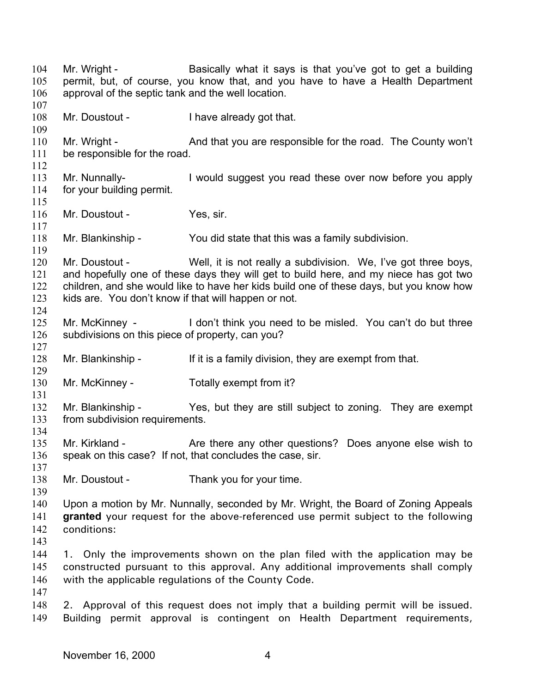104 105 106 107 108 109 110 111 112 113 114 115 116 117 118 119 120 121 122 123 124 125 126 127 128 129 130 131 132 133 134 135 136 137 138 139 140 141 142 143 144 145 146 147 148 149 Mr. Wright - Basically what it says is that you've got to get a building permit, but, of course, you know that, and you have to have a Health Department approval of the septic tank and the well location. Mr. Doustout - Thave already got that. Mr. Wright - And that you are responsible for the road. The County won't be responsible for the road. Mr. Nunnally-<br>I would suggest you read these over now before you apply for your building permit. Mr. Doustout - Yes, sir. Mr. Blankinship - You did state that this was a family subdivision. Mr. Doustout - Well, it is not really a subdivision. We, I've got three boys, and hopefully one of these days they will get to build here, and my niece has got two children, and she would like to have her kids build one of these days, but you know how kids are. You don't know if that will happen or not. Mr. McKinney - I don't think you need to be misled. You can't do but three subdivisions on this piece of property, can you? Mr. Blankinship - If it is a family division, they are exempt from that. Mr. McKinney - Totally exempt from it? Mr. Blankinship - Yes, but they are still subject to zoning. They are exempt from subdivision requirements. Mr. Kirkland - The Are there any other questions? Does anyone else wish to speak on this case? If not, that concludes the case, sir. Mr. Doustout - Thank you for your time. Upon a motion by Mr. Nunnally, seconded by Mr. Wright, the Board of Zoning Appeals **granted** your request for the above-referenced use permit subject to the following conditions: 1. Only the improvements shown on the plan filed with the application may be constructed pursuant to this approval. Any additional improvements shall comply with the applicable regulations of the County Code. 2. Approval of this request does not imply that a building permit will be issued. Building permit approval is contingent on Health Department requirements,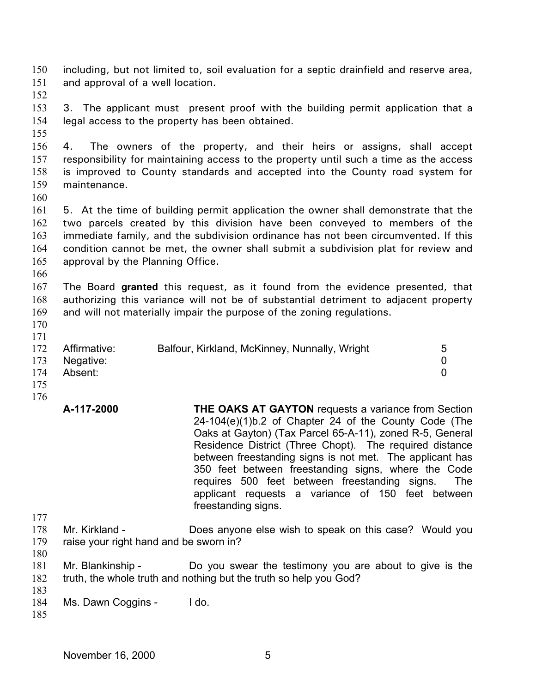150 151 152 153 154 155 156 157 158 159 160 161 162 163 164 165 166 167 168 169 170 171 172 173 174 175 176 177 178 179 180 181 182 183 including, but not limited to, soil evaluation for a septic drainfield and reserve area, and approval of a well location. 3. The applicant must present proof with the building permit application that a legal access to the property has been obtained. 4. The owners of the property, and their heirs or assigns, shall accept responsibility for maintaining access to the property until such a time as the access is improved to County standards and accepted into the County road system for maintenance. 5. At the time of building permit application the owner shall demonstrate that the two parcels created by this division have been conveyed to members of the immediate family, and the subdivision ordinance has not been circumvented. If this condition cannot be met, the owner shall submit a subdivision plat for review and approval by the Planning Office. The Board **granted** this request, as it found from the evidence presented, that authorizing this variance will not be of substantial detriment to adjacent property and will not materially impair the purpose of the zoning regulations. Affirmative: Balfour, Kirkland, McKinney, Nunnally, Wright 5 Negative: 0 Absent: 0 **A-117-2000 THE OAKS AT GAYTON** requests a variance from Section 24-104(e)(1)b.2 of Chapter 24 of the County Code (The Oaks at Gayton) (Tax Parcel 65-A-11), zoned R-5, General Residence District (Three Chopt). The required distance between freestanding signs is not met. The applicant has 350 feet between freestanding signs, where the Code requires 500 feet between freestanding signs. The applicant requests a variance of 150 feet between freestanding signs. Mr. Kirkland - **Does anyone else wish to speak on this case?** Would you raise your right hand and be sworn in? Mr. Blankinship - Do you swear the testimony you are about to give is the truth, the whole truth and nothing but the truth so help you God?

184 Ms. Dawn Coggins - I do.

185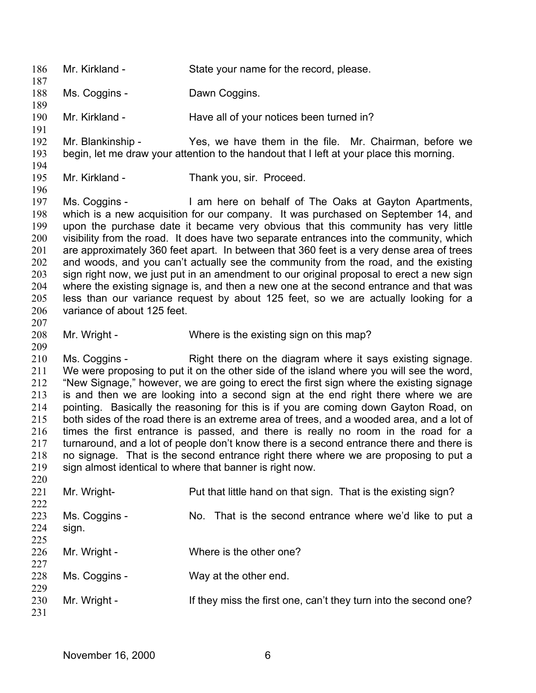186 187 188 189 190 191 192 193 194 195 196 197 198 199 200 201 202 203 204 205 206 207 208 209 210 211 212 213 214 215 216 217 218 219 220 221 222 223 224 225 226 227 228 229 230 231 Mr. Kirkland - State your name for the record, please. Ms. Coggins - Dawn Coggins. Mr. Kirkland - Have all of your notices been turned in? Mr. Blankinship - Yes, we have them in the file. Mr. Chairman, before we begin, let me draw your attention to the handout that I left at your place this morning. Mr. Kirkland - Thank you, sir. Proceed. Ms. Coggins - I am here on behalf of The Oaks at Gayton Apartments, which is a new acquisition for our company. It was purchased on September 14, and upon the purchase date it became very obvious that this community has very little visibility from the road. It does have two separate entrances into the community, which are approximately 360 feet apart. In between that 360 feet is a very dense area of trees and woods, and you can't actually see the community from the road, and the existing sign right now, we just put in an amendment to our original proposal to erect a new sign where the existing signage is, and then a new one at the second entrance and that was less than our variance request by about 125 feet, so we are actually looking for a variance of about 125 feet. Mr. Wright - Where is the existing sign on this map? Ms. Coggins - Right there on the diagram where it says existing signage. We were proposing to put it on the other side of the island where you will see the word, "New Signage," however, we are going to erect the first sign where the existing signage is and then we are looking into a second sign at the end right there where we are pointing. Basically the reasoning for this is if you are coming down Gayton Road, on both sides of the road there is an extreme area of trees, and a wooded area, and a lot of times the first entrance is passed, and there is really no room in the road for a turnaround, and a lot of people don't know there is a second entrance there and there is no signage. That is the second entrance right there where we are proposing to put a sign almost identical to where that banner is right now. Mr. Wright- Put that little hand on that sign. That is the existing sign? Ms. Coggins - No. That is the second entrance where we'd like to put a sign. Mr. Wright - Where is the other one? Ms. Coggins - Way at the other end. Mr. Wright - If they miss the first one, can't they turn into the second one?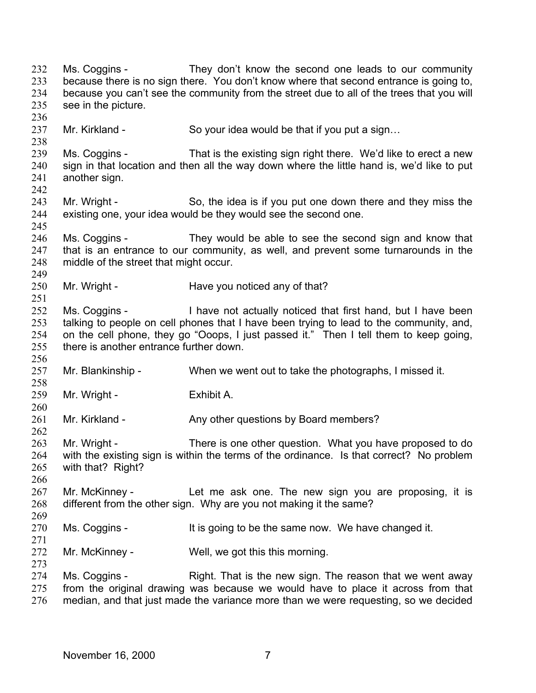232 233 234 235 236 237 238 239 240 241 242 243 244 245 246 247 248 249 250 251 252 253 254 255 256 257 258 259 260 261 262 263 264 265 266 267 268 269 270 271 272 273 274 275 276 Ms. Coggins - They don't know the second one leads to our community because there is no sign there. You don't know where that second entrance is going to, because you can't see the community from the street due to all of the trees that you will see in the picture. Mr. Kirkland - So your idea would be that if you put a sign... Ms. Coggins - That is the existing sign right there. We'd like to erect a new sign in that location and then all the way down where the little hand is, we'd like to put another sign. Mr. Wright - So, the idea is if you put one down there and they miss the existing one, your idea would be they would see the second one. Ms. Coggins - They would be able to see the second sign and know that that is an entrance to our community, as well, and prevent some turnarounds in the middle of the street that might occur. Mr. Wright - Have you noticed any of that? Ms. Coggins - I have not actually noticed that first hand, but I have been talking to people on cell phones that I have been trying to lead to the community, and, on the cell phone, they go "Ooops, I just passed it." Then I tell them to keep going, there is another entrance further down. Mr. Blankinship - When we went out to take the photographs, I missed it. Mr. Wright - Exhibit A. Mr. Kirkland - Any other questions by Board members? Mr. Wright - There is one other question. What you have proposed to do with the existing sign is within the terms of the ordinance. Is that correct? No problem with that? Right? Mr. McKinney - Let me ask one. The new sign you are proposing, it is different from the other sign. Why are you not making it the same? Ms. Coggins - It is going to be the same now. We have changed it. Mr. McKinney - Well, we got this this morning. Ms. Coggins - Right. That is the new sign. The reason that we went away from the original drawing was because we would have to place it across from that median, and that just made the variance more than we were requesting, so we decided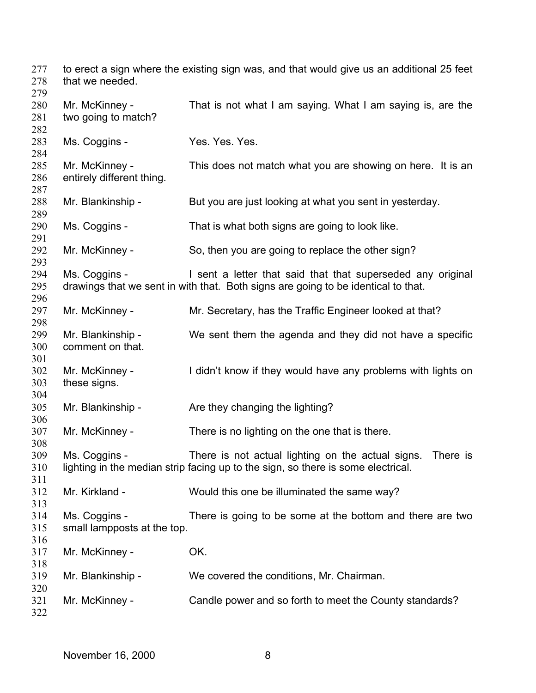to erect a sign where the existing sign was, and that would give us an additional 25 feet that we needed. Mr. McKinney - That is not what I am saying. What I am saying is, are the two going to match? Ms. Coggins - Yes. Yes. Yes. Mr. McKinney - This does not match what you are showing on here. It is an entirely different thing. Mr. Blankinship - But you are just looking at what you sent in yesterday. Ms. Coggins - That is what both signs are going to look like. Mr. McKinney - So, then you are going to replace the other sign? Ms. Coggins - I sent a letter that said that that superseded any original drawings that we sent in with that. Both signs are going to be identical to that. Mr. McKinney - Mr. Secretary, has the Traffic Engineer looked at that? Mr. Blankinship - We sent them the agenda and they did not have a specific comment on that. Mr. McKinney - I didn't know if they would have any problems with lights on these signs. Mr. Blankinship - Are they changing the lighting? Mr. McKinney - There is no lighting on the one that is there. Ms. Coggins - There is not actual lighting on the actual signs. There is lighting in the median strip facing up to the sign, so there is some electrical. Mr. Kirkland - Would this one be illuminated the same way? Ms. Coggins - There is going to be some at the bottom and there are two small lampposts at the top. Mr. McKinney - **OK.** Mr. Blankinship - We covered the conditions, Mr. Chairman. Mr. McKinney - Candle power and so forth to meet the County standards?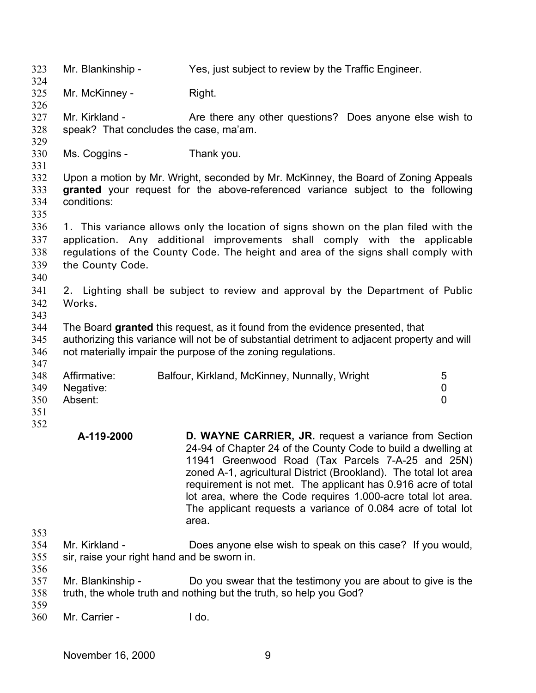323 324 325 326 327 328 329 330 331 332 333 334 335 336 337 338 339 340 341 342 343 344 345 346 347 348 349 350 351 352 353 354 355 356 357 358 359 360 Mr. Blankinship - Yes, just subject to review by the Traffic Engineer. Mr. McKinney - Right. Mr. Kirkland - The Are there any other questions? Does anyone else wish to speak? That concludes the case, ma'am. Ms. Coggins - Thank you. Upon a motion by Mr. Wright, seconded by Mr. McKinney, the Board of Zoning Appeals **granted** your request for the above-referenced variance subject to the following conditions: 1. This variance allows only the location of signs shown on the plan filed with the application. Any additional improvements shall comply with the applicable regulations of the County Code. The height and area of the signs shall comply with the County Code. 2. Lighting shall be subject to review and approval by the Department of Public Works. The Board **granted** this request, as it found from the evidence presented, that authorizing this variance will not be of substantial detriment to adjacent property and will not materially impair the purpose of the zoning regulations. Affirmative: Balfour, Kirkland, McKinney, Nunnally, Wright 5 Negative: 0 Absent: 0 **A-119-2000 D. WAYNE CARRIER, JR.** request a variance from Section 24-94 of Chapter 24 of the County Code to build a dwelling at 11941 Greenwood Road (Tax Parcels 7-A-25 and 25N) zoned A-1, agricultural District (Brookland). The total lot area requirement is not met. The applicant has 0.916 acre of total lot area, where the Code requires 1.000-acre total lot area. The applicant requests a variance of 0.084 acre of total lot area. Mr. Kirkland - Does anyone else wish to speak on this case? If you would, sir, raise your right hand and be sworn in. Mr. Blankinship - Do you swear that the testimony you are about to give is the truth, the whole truth and nothing but the truth, so help you God? Mr. Carrier - The Lido.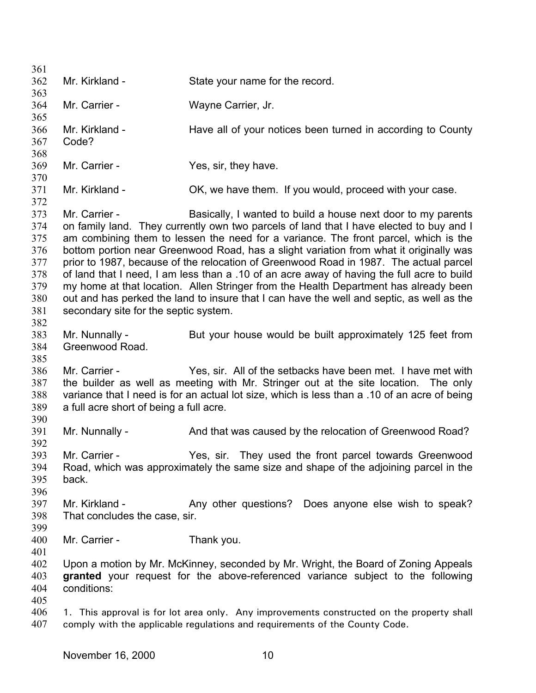| 361        |                                         |                                                                                                                                                                                 |
|------------|-----------------------------------------|---------------------------------------------------------------------------------------------------------------------------------------------------------------------------------|
| 362        | Mr. Kirkland -                          | State your name for the record.                                                                                                                                                 |
| 363        |                                         |                                                                                                                                                                                 |
| 364        | Mr. Carrier -                           | Wayne Carrier, Jr.                                                                                                                                                              |
| 365        |                                         |                                                                                                                                                                                 |
| 366        | Mr. Kirkland -                          | Have all of your notices been turned in according to County                                                                                                                     |
| 367        | Code?                                   |                                                                                                                                                                                 |
| 368        |                                         |                                                                                                                                                                                 |
| 369        | Mr. Carrier -                           | Yes, sir, they have.                                                                                                                                                            |
| 370        |                                         |                                                                                                                                                                                 |
| 371        | Mr. Kirkland -                          | OK, we have them. If you would, proceed with your case.                                                                                                                         |
| 372        |                                         |                                                                                                                                                                                 |
| 373        | Mr. Carrier -                           | Basically, I wanted to build a house next door to my parents                                                                                                                    |
| 374        |                                         | on family land. They currently own two parcels of land that I have elected to buy and I                                                                                         |
| 375        |                                         | am combining them to lessen the need for a variance. The front parcel, which is the                                                                                             |
| 376<br>377 |                                         | bottom portion near Greenwood Road, has a slight variation from what it originally was<br>prior to 1987, because of the relocation of Greenwood Road in 1987. The actual parcel |
| 378        |                                         | of land that I need, I am less than a .10 of an acre away of having the full acre to build                                                                                      |
| 379        |                                         | my home at that location. Allen Stringer from the Health Department has already been                                                                                            |
| 380        |                                         | out and has perked the land to insure that I can have the well and septic, as well as the                                                                                       |
| 381        | secondary site for the septic system.   |                                                                                                                                                                                 |
| 382        |                                         |                                                                                                                                                                                 |
| 383        | Mr. Nunnally -                          | But your house would be built approximately 125 feet from                                                                                                                       |
| 384        | Greenwood Road.                         |                                                                                                                                                                                 |
| 385        |                                         |                                                                                                                                                                                 |
| 386        | Mr. Carrier -                           | Yes, sir. All of the setbacks have been met. I have met with                                                                                                                    |
| 387        |                                         | the builder as well as meeting with Mr. Stringer out at the site location. The only                                                                                             |
| 388        |                                         | variance that I need is for an actual lot size, which is less than a .10 of an acre of being                                                                                    |
| 389        | a full acre short of being a full acre. |                                                                                                                                                                                 |
| 390        |                                         |                                                                                                                                                                                 |
| 391        | Mr. Nunnally -                          | And that was caused by the relocation of Greenwood Road?                                                                                                                        |
| 392        |                                         |                                                                                                                                                                                 |
| 393        | Mr. Carrier -                           | Yes, sir. They used the front parcel towards Greenwood                                                                                                                          |
| 394        |                                         | Road, which was approximately the same size and shape of the adjoining parcel in the                                                                                            |
| 395        | back.                                   |                                                                                                                                                                                 |
| 396        |                                         |                                                                                                                                                                                 |
| 397        | Mr. Kirkland -                          | Any other questions? Does anyone else wish to speak?                                                                                                                            |
| 398        | That concludes the case, sir.           |                                                                                                                                                                                 |
| 399        |                                         |                                                                                                                                                                                 |
| 400        | Mr. Carrier -                           | Thank you.                                                                                                                                                                      |
| 401        |                                         |                                                                                                                                                                                 |
| 402        |                                         | Upon a motion by Mr. McKinney, seconded by Mr. Wright, the Board of Zoning Appeals                                                                                              |
| 403        |                                         | granted your request for the above-referenced variance subject to the following                                                                                                 |
| 404<br>405 | conditions:                             |                                                                                                                                                                                 |
| 406        |                                         | 1. This approval is for lot area only. Any improvements constructed on the property shall                                                                                       |
| 407        |                                         | comply with the applicable regulations and requirements of the County Code.                                                                                                     |
|            |                                         |                                                                                                                                                                                 |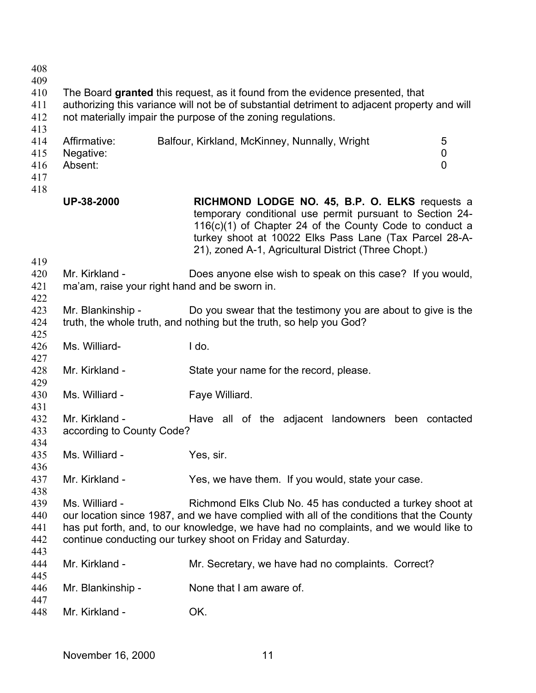| 408<br>409<br>410<br>411<br>412        |                                             | The Board granted this request, as it found from the evidence presented, that<br>authorizing this variance will not be of substantial detriment to adjacent property and will<br>not materially impair the purpose of the zoning regulations.                                                                  |
|----------------------------------------|---------------------------------------------|----------------------------------------------------------------------------------------------------------------------------------------------------------------------------------------------------------------------------------------------------------------------------------------------------------------|
| 413<br>414<br>415<br>416<br>417<br>418 | Affirmative:<br>Negative:<br>Absent:        | Balfour, Kirkland, McKinney, Nunnally, Wright<br>5<br>0<br>$\overline{0}$                                                                                                                                                                                                                                      |
|                                        | UP-38-2000                                  | RICHMOND LODGE NO. 45, B.P. O. ELKS requests a<br>temporary conditional use permit pursuant to Section 24-<br>$116(c)(1)$ of Chapter 24 of the County Code to conduct a<br>turkey shoot at 10022 Elks Pass Lane (Tax Parcel 28-A-<br>21), zoned A-1, Agricultural District (Three Chopt.)                      |
| 419<br>420<br>421                      | Mr. Kirkland -                              | Does anyone else wish to speak on this case? If you would,<br>ma'am, raise your right hand and be sworn in.                                                                                                                                                                                                    |
| 422<br>423<br>424<br>425               | Mr. Blankinship -                           | Do you swear that the testimony you are about to give is the<br>truth, the whole truth, and nothing but the truth, so help you God?                                                                                                                                                                            |
| 426<br>427                             | Ms. Williard-                               | I do.                                                                                                                                                                                                                                                                                                          |
| 428<br>429                             | Mr. Kirkland -                              | State your name for the record, please.                                                                                                                                                                                                                                                                        |
| 430<br>431                             | Ms. Williard -                              | Faye Williard.                                                                                                                                                                                                                                                                                                 |
| 432<br>433<br>434                      | Mr. Kirkland -<br>according to County Code? | Have all of the adjacent landowners been contacted                                                                                                                                                                                                                                                             |
| 435<br>436                             | Ms. Williard -                              | Yes, sir.                                                                                                                                                                                                                                                                                                      |
| 437<br>438                             | Mr. Kirkland -                              | Yes, we have them. If you would, state your case.                                                                                                                                                                                                                                                              |
| 439<br>440<br>441<br>442               | Ms. Williard -                              | Richmond Elks Club No. 45 has conducted a turkey shoot at<br>our location since 1987, and we have complied with all of the conditions that the County<br>has put forth, and, to our knowledge, we have had no complaints, and we would like to<br>continue conducting our turkey shoot on Friday and Saturday. |
| 443<br>444                             | Mr. Kirkland -                              | Mr. Secretary, we have had no complaints. Correct?                                                                                                                                                                                                                                                             |
| 445<br>446                             | Mr. Blankinship -                           | None that I am aware of.                                                                                                                                                                                                                                                                                       |
| 447<br>448                             | Mr. Kirkland -                              | OK.                                                                                                                                                                                                                                                                                                            |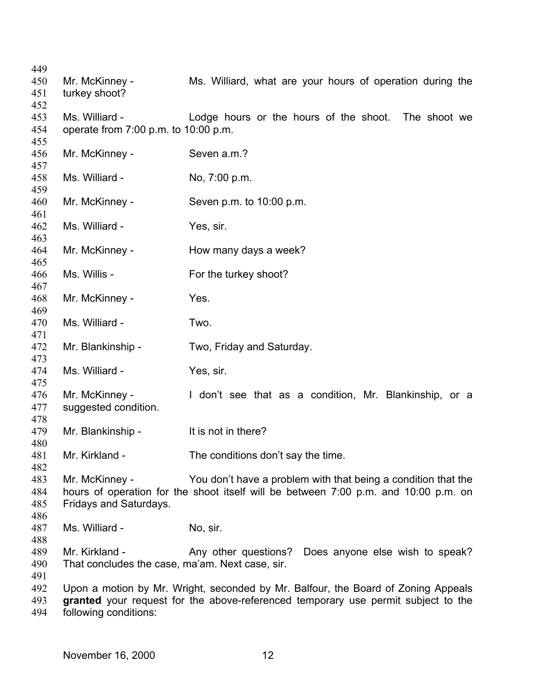| 449 |                                                 |                                                                                     |
|-----|-------------------------------------------------|-------------------------------------------------------------------------------------|
| 450 | Mr. McKinney -                                  | Ms. Williard, what are your hours of operation during the                           |
| 451 | turkey shoot?                                   |                                                                                     |
| 452 |                                                 |                                                                                     |
| 453 | Ms. Williard -                                  | Lodge hours or the hours of the shoot. The shoot we                                 |
| 454 | operate from 7:00 p.m. to 10:00 p.m.            |                                                                                     |
| 455 |                                                 |                                                                                     |
| 456 | Mr. McKinney -                                  | Seven a.m.?                                                                         |
| 457 |                                                 |                                                                                     |
| 458 | Ms. Williard -                                  | No, 7:00 p.m.                                                                       |
| 459 |                                                 |                                                                                     |
| 460 | Mr. McKinney -                                  | Seven p.m. to 10:00 p.m.                                                            |
| 461 |                                                 |                                                                                     |
| 462 | Ms. Williard -                                  |                                                                                     |
|     |                                                 | Yes, sir.                                                                           |
| 463 |                                                 |                                                                                     |
| 464 | Mr. McKinney -                                  | How many days a week?                                                               |
| 465 |                                                 |                                                                                     |
| 466 | Ms. Willis -                                    | For the turkey shoot?                                                               |
| 467 |                                                 |                                                                                     |
| 468 | Mr. McKinney -                                  | Yes.                                                                                |
| 469 |                                                 |                                                                                     |
| 470 | Ms. Williard -                                  | Two.                                                                                |
| 471 |                                                 |                                                                                     |
| 472 | Mr. Blankinship -                               | Two, Friday and Saturday.                                                           |
| 473 |                                                 |                                                                                     |
| 474 | Ms. Williard -                                  | Yes, sir.                                                                           |
| 475 |                                                 |                                                                                     |
| 476 | Mr. McKinney -                                  | I don't see that as a condition, Mr. Blankinship, or a                              |
| 477 | suggested condition.                            |                                                                                     |
| 478 |                                                 |                                                                                     |
| 479 | Mr. Blankinship -                               | It is not in there?                                                                 |
| 480 |                                                 |                                                                                     |
| 481 | Mr. Kirkland -                                  | The conditions don't say the time.                                                  |
| 482 |                                                 |                                                                                     |
| 483 | Mr. McKinney -                                  | You don't have a problem with that being a condition that the                       |
| 484 |                                                 | hours of operation for the shoot itself will be between 7:00 p.m. and 10:00 p.m. on |
| 485 | Fridays and Saturdays.                          |                                                                                     |
| 486 |                                                 |                                                                                     |
| 487 | Ms. Williard -                                  | No, sir.                                                                            |
| 488 |                                                 |                                                                                     |
| 489 | Mr. Kirkland -                                  | Does anyone else wish to speak?<br>Any other questions?                             |
| 490 | That concludes the case, ma'am. Next case, sir. |                                                                                     |
| 491 |                                                 |                                                                                     |
| 492 |                                                 | Upon a motion by Mr. Wright, seconded by Mr. Balfour, the Board of Zoning Appeals   |
| 493 |                                                 | granted your request for the above-referenced temporary use permit subject to the   |
| 494 | following conditions:                           |                                                                                     |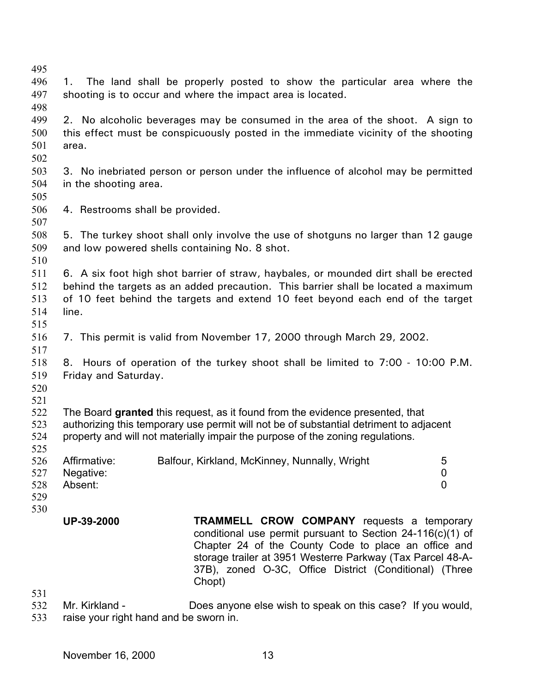| 495        |                                                                                 |                                                                                        |                |  |
|------------|---------------------------------------------------------------------------------|----------------------------------------------------------------------------------------|----------------|--|
| 496        | 1.                                                                              | The land shall be properly posted to show the particular area where the                |                |  |
| 497        | shooting is to occur and where the impact area is located.                      |                                                                                        |                |  |
| 498        |                                                                                 |                                                                                        |                |  |
| 499        |                                                                                 | 2. No alcoholic beverages may be consumed in the area of the shoot. A sign to          |                |  |
| 500        |                                                                                 | this effect must be conspicuously posted in the immediate vicinity of the shooting     |                |  |
| 501        | area.                                                                           |                                                                                        |                |  |
| 502        |                                                                                 |                                                                                        |                |  |
| 503        |                                                                                 | 3. No inebriated person or person under the influence of alcohol may be permitted      |                |  |
| 504        | in the shooting area.                                                           |                                                                                        |                |  |
| 505        |                                                                                 |                                                                                        |                |  |
| 506        | 4. Restrooms shall be provided.                                                 |                                                                                        |                |  |
| 507        |                                                                                 |                                                                                        |                |  |
| 508        |                                                                                 | 5. The turkey shoot shall only involve the use of shotguns no larger than 12 gauge     |                |  |
| 509        | and low powered shells containing No. 8 shot.                                   |                                                                                        |                |  |
| 510        |                                                                                 |                                                                                        |                |  |
|            |                                                                                 |                                                                                        |                |  |
| 511        |                                                                                 | 6. A six foot high shot barrier of straw, haybales, or mounded dirt shall be erected   |                |  |
| 512        |                                                                                 | behind the targets as an added precaution. This barrier shall be located a maximum     |                |  |
| 513        |                                                                                 | of 10 feet behind the targets and extend 10 feet beyond each end of the target         |                |  |
| 514        | line.                                                                           |                                                                                        |                |  |
| 515        |                                                                                 |                                                                                        |                |  |
| 516        |                                                                                 | 7. This permit is valid from November 17, 2000 through March 29, 2002.                 |                |  |
| 517        |                                                                                 |                                                                                        |                |  |
| 518        | 8. Hours of operation of the turkey shoot shall be limited to 7:00 - 10:00 P.M. |                                                                                        |                |  |
| 519        | Friday and Saturday.                                                            |                                                                                        |                |  |
| 520        |                                                                                 |                                                                                        |                |  |
| 521        |                                                                                 |                                                                                        |                |  |
| 522<br>523 |                                                                                 | The Board granted this request, as it found from the evidence presented, that          |                |  |
| 524        |                                                                                 | authorizing this temporary use permit will not be of substantial detriment to adjacent |                |  |
| 525        |                                                                                 | property and will not materially impair the purpose of the zoning regulations.         |                |  |
| 526        | Affirmative:                                                                    | Balfour, Kirkland, McKinney, Nunnally, Wright                                          | 5              |  |
| 527        | Negative:                                                                       |                                                                                        | 0              |  |
| 528        | Absent:                                                                         |                                                                                        | $\overline{0}$ |  |
| 529        |                                                                                 |                                                                                        |                |  |
| 530        |                                                                                 |                                                                                        |                |  |
|            | UP-39-2000                                                                      | <b>TRAMMELL CROW COMPANY</b> requests a temporary                                      |                |  |
|            |                                                                                 | conditional use permit pursuant to Section 24-116(c)(1) of                             |                |  |
|            |                                                                                 | Chapter 24 of the County Code to place an office and                                   |                |  |
|            |                                                                                 | storage trailer at 3951 Westerre Parkway (Tax Parcel 48-A-                             |                |  |
|            |                                                                                 | 37B), zoned O-3C, Office District (Conditional) (Three                                 |                |  |
|            |                                                                                 | Chopt)                                                                                 |                |  |
| 531        |                                                                                 |                                                                                        |                |  |

532 533 Mr. Kirkland - Does anyone else wish to speak on this case? If you would, raise your right hand and be sworn in.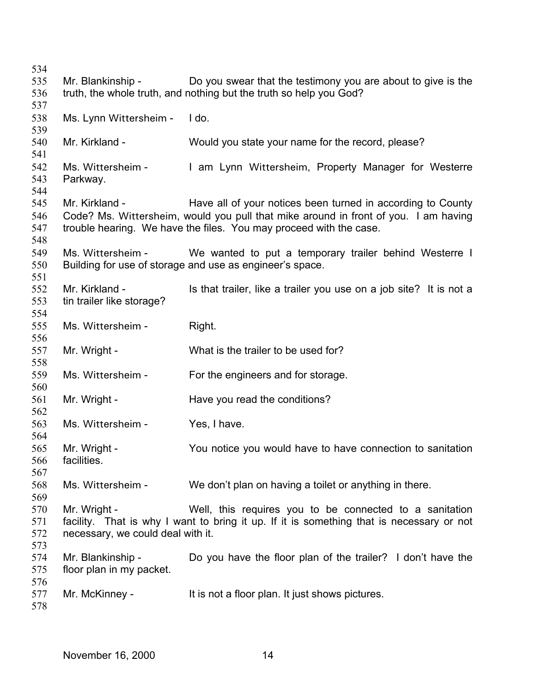Mr. Blankinship - Do you swear that the testimony you are about to give is the truth, the whole truth, and nothing but the truth so help you God? Ms. Lynn Wittersheim - I do. Mr. Kirkland - Would you state your name for the record, please? Ms. Wittersheim - I am Lynn Wittersheim, Property Manager for Westerre Parkway. Mr. Kirkland - Have all of your notices been turned in according to County Code? Ms. Wittersheim, would you pull that mike around in front of you. I am having trouble hearing. We have the files. You may proceed with the case. Ms. Wittersheim - We wanted to put a temporary trailer behind Westerre I Building for use of storage and use as engineer's space. Mr. Kirkland - This that trailer, like a trailer you use on a job site? It is not a tin trailer like storage? Ms. Wittersheim - Right. Mr. Wright - What is the trailer to be used for? Ms. Wittersheim - For the engineers and for storage. Mr. Wright - The Have you read the conditions? Ms. Wittersheim - Yes, I have. Mr. Wright - You notice you would have to have connection to sanitation facilities. Ms. Wittersheim - We don't plan on having a toilet or anything in there. Mr. Wright - Well, this requires you to be connected to a sanitation facility. That is why I want to bring it up. If it is something that is necessary or not necessary, we could deal with it. Mr. Blankinship - Do you have the floor plan of the trailer? I don't have the floor plan in my packet. Mr. McKinney - It is not a floor plan. It just shows pictures.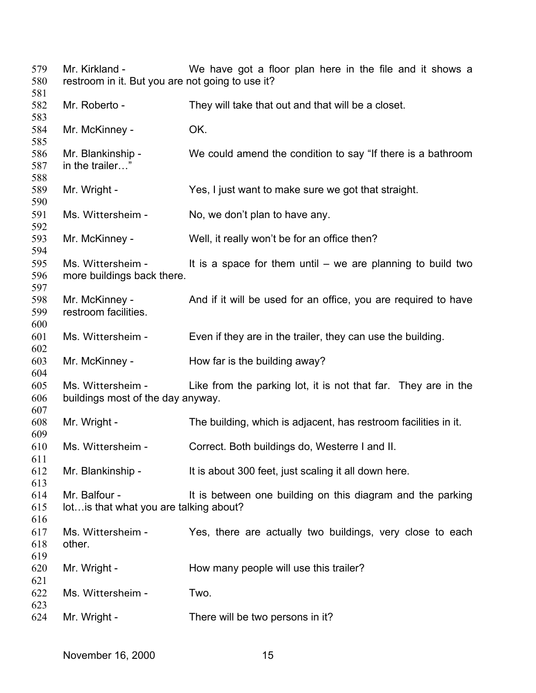| 579<br>580        | Mr. Kirkland -<br>restroom in it. But you are not going to use it? | We have got a floor plan here in the file and it shows a        |
|-------------------|--------------------------------------------------------------------|-----------------------------------------------------------------|
| 581<br>582<br>583 | Mr. Roberto -                                                      | They will take that out and that will be a closet.              |
| 584<br>585        | Mr. McKinney -                                                     | OK.                                                             |
| 586<br>587<br>588 | Mr. Blankinship -<br>in the trailer"                               | We could amend the condition to say "If there is a bathroom     |
| 589<br>590        | Mr. Wright -                                                       | Yes, I just want to make sure we got that straight.             |
| 591<br>592        | Ms. Wittersheim -                                                  | No, we don't plan to have any.                                  |
| 593<br>594        | Mr. McKinney -                                                     | Well, it really won't be for an office then?                    |
| 595<br>596<br>597 | Ms. Wittersheim -<br>more buildings back there.                    | It is a space for them until $-$ we are planning to build two   |
| 598<br>599<br>600 | Mr. McKinney -<br>restroom facilities.                             | And if it will be used for an office, you are required to have  |
| 601<br>602        | Ms. Wittersheim -                                                  | Even if they are in the trailer, they can use the building.     |
| 603<br>604        | Mr. McKinney -                                                     | How far is the building away?                                   |
| 605<br>606<br>607 | Ms. Wittersheim -<br>buildings most of the day anyway.             | Like from the parking lot, it is not that far. They are in the  |
| 608<br>609        | Mr. Wright -                                                       | The building, which is adjacent, has restroom facilities in it. |
| 610<br>611        | Ms. Wittersheim -                                                  | Correct. Both buildings do, Westerre I and II.                  |
| 612<br>613        | Mr. Blankinship -                                                  | It is about 300 feet, just scaling it all down here.            |
| 614<br>615<br>616 | Mr. Balfour -<br>lot is that what you are talking about?           | It is between one building on this diagram and the parking      |
| 617<br>618<br>619 | Ms. Wittersheim -<br>other.                                        | Yes, there are actually two buildings, very close to each       |
| 620<br>621        | Mr. Wright -                                                       | How many people will use this trailer?                          |
| 622<br>623        | Ms. Wittersheim -                                                  | Two.                                                            |
| 624               | Mr. Wright -                                                       | There will be two persons in it?                                |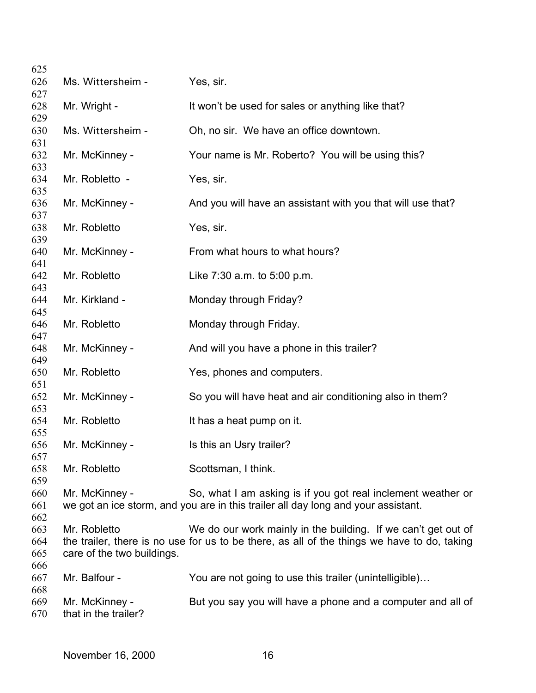| 625               |                                        |                                                                                             |
|-------------------|----------------------------------------|---------------------------------------------------------------------------------------------|
| 626               | Ms. Wittersheim -                      | Yes, sir.                                                                                   |
| 627               |                                        |                                                                                             |
| 628               | Mr. Wright -                           | It won't be used for sales or anything like that?                                           |
| 629<br>630        | Ms. Wittersheim -                      | Oh, no sir. We have an office downtown.                                                     |
| 631               |                                        |                                                                                             |
| 632<br>633        | Mr. McKinney -                         | Your name is Mr. Roberto? You will be using this?                                           |
| 634<br>635        | Mr. Robletto -                         | Yes, sir.                                                                                   |
| 636<br>637        | Mr. McKinney -                         | And you will have an assistant with you that will use that?                                 |
| 638               | Mr. Robletto                           | Yes, sir.                                                                                   |
| 639<br>640        | Mr. McKinney -                         | From what hours to what hours?                                                              |
| 641<br>642        | Mr. Robletto                           | Like 7:30 a.m. to 5:00 p.m.                                                                 |
| 643<br>644        | Mr. Kirkland -                         | Monday through Friday?                                                                      |
| 645<br>646        | Mr. Robletto                           | Monday through Friday.                                                                      |
| 647<br>648        | Mr. McKinney -                         | And will you have a phone in this trailer?                                                  |
| 649               |                                        |                                                                                             |
| 650               | Mr. Robletto                           | Yes, phones and computers.                                                                  |
| 651<br>652        | Mr. McKinney -                         | So you will have heat and air conditioning also in them?                                    |
| 653<br>654        | Mr. Robletto                           | It has a heat pump on it.                                                                   |
| 655               |                                        |                                                                                             |
| 656               | Mr. McKinney -                         | Is this an Usry trailer?                                                                    |
| 657<br>658        | Mr. Robletto                           | Scottsman, I think.                                                                         |
| 659               |                                        |                                                                                             |
| 660               | Mr. McKinney -                         | So, what I am asking is if you got real inclement weather or                                |
| 661               |                                        | we got an ice storm, and you are in this trailer all day long and your assistant.           |
| 662               |                                        |                                                                                             |
| 663               | Mr. Robletto                           | We do our work mainly in the building. If we can't get out of                               |
| 664               |                                        | the trailer, there is no use for us to be there, as all of the things we have to do, taking |
| 665               | care of the two buildings.             |                                                                                             |
| 666               |                                        |                                                                                             |
| 667               | Mr. Balfour -                          | You are not going to use this trailer (unintelligible)                                      |
| 668<br>669<br>670 | Mr. McKinney -<br>that in the trailer? | But you say you will have a phone and a computer and all of                                 |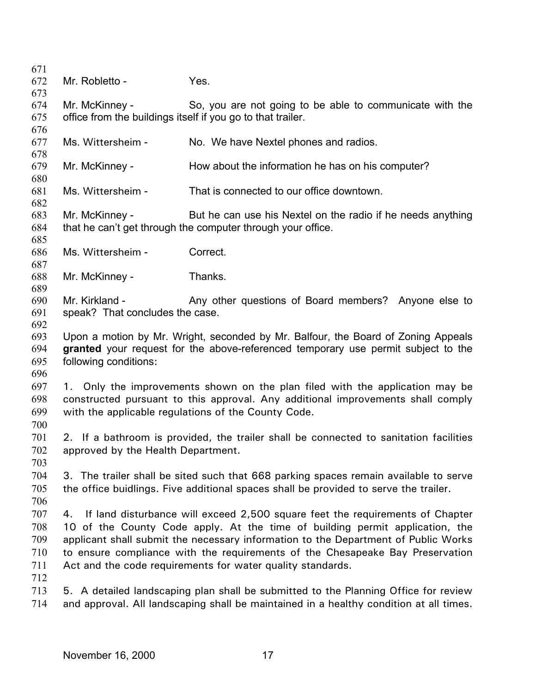| 671 |                                                             |                                                                                        |  |
|-----|-------------------------------------------------------------|----------------------------------------------------------------------------------------|--|
| 672 | Mr. Robletto -                                              | Yes.                                                                                   |  |
| 673 |                                                             |                                                                                        |  |
| 674 | Mr. McKinney -                                              | So, you are not going to be able to communicate with the                               |  |
| 675 | office from the buildings itself if you go to that trailer. |                                                                                        |  |
| 676 |                                                             |                                                                                        |  |
| 677 | Ms. Wittersheim -                                           | No. We have Nextel phones and radios.                                                  |  |
| 678 |                                                             |                                                                                        |  |
| 679 | Mr. McKinney -                                              | How about the information he has on his computer?                                      |  |
| 680 |                                                             |                                                                                        |  |
| 681 | Ms. Wittersheim -                                           | That is connected to our office downtown.                                              |  |
| 682 |                                                             |                                                                                        |  |
| 683 | Mr. McKinney -                                              | But he can use his Nextel on the radio if he needs anything                            |  |
| 684 |                                                             | that he can't get through the computer through your office.                            |  |
| 685 |                                                             |                                                                                        |  |
| 686 | Ms. Wittersheim -                                           | Correct.                                                                               |  |
| 687 |                                                             |                                                                                        |  |
| 688 | Mr. McKinney -                                              | Thanks.                                                                                |  |
| 689 |                                                             |                                                                                        |  |
| 690 | Mr. Kirkland -                                              | Any other questions of Board members? Anyone else to                                   |  |
| 691 | speak? That concludes the case.                             |                                                                                        |  |
| 692 |                                                             |                                                                                        |  |
| 693 |                                                             | Upon a motion by Mr. Wright, seconded by Mr. Balfour, the Board of Zoning Appeals      |  |
| 694 |                                                             | granted your request for the above-referenced temporary use permit subject to the      |  |
| 695 | following conditions:                                       |                                                                                        |  |
| 696 |                                                             |                                                                                        |  |
| 697 |                                                             | 1. Only the improvements shown on the plan filed with the application may be           |  |
| 698 |                                                             | constructed pursuant to this approval. Any additional improvements shall comply        |  |
| 699 |                                                             | with the applicable regulations of the County Code.                                    |  |
| 700 |                                                             |                                                                                        |  |
| 701 |                                                             | 2. If a bathroom is provided, the trailer shall be connected to sanitation facilities  |  |
| 702 | approved by the Health Department.                          |                                                                                        |  |
| 703 |                                                             |                                                                                        |  |
| 704 |                                                             | 3. The trailer shall be sited such that 668 parking spaces remain available to serve   |  |
| 705 |                                                             | the office buidlings. Five additional spaces shall be provided to serve the trailer.   |  |
| 706 |                                                             |                                                                                        |  |
| 707 |                                                             | 4. If land disturbance will exceed 2,500 square feet the requirements of Chapter       |  |
| 708 |                                                             | 10 of the County Code apply. At the time of building permit application, the           |  |
| 709 |                                                             | applicant shall submit the necessary information to the Department of Public Works     |  |
| 710 |                                                             | to ensure compliance with the requirements of the Chesapeake Bay Preservation          |  |
| 711 |                                                             | Act and the code requirements for water quality standards.                             |  |
|     |                                                             |                                                                                        |  |
| 712 |                                                             |                                                                                        |  |
| 713 |                                                             | 5. A detailed landscaping plan shall be submitted to the Planning Office for review    |  |
| 714 |                                                             | and approval. All landscaping shall be maintained in a healthy condition at all times. |  |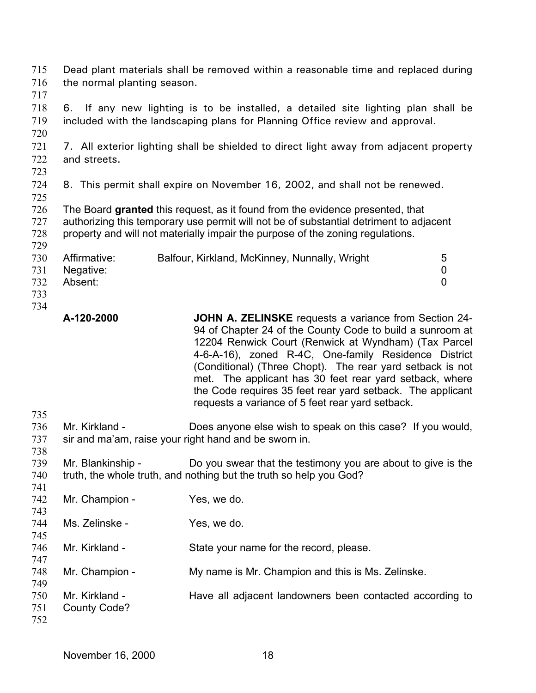| 715 |                             | Dead plant materials shall be removed within a reasonable time and replaced during     |                |
|-----|-----------------------------|----------------------------------------------------------------------------------------|----------------|
| 716 | the normal planting season. |                                                                                        |                |
| 717 |                             |                                                                                        |                |
| 718 | 6.                          | If any new lighting is to be installed, a detailed site lighting plan shall be         |                |
| 719 |                             | included with the landscaping plans for Planning Office review and approval.           |                |
| 720 |                             |                                                                                        |                |
| 721 |                             | 7. All exterior lighting shall be shielded to direct light away from adjacent property |                |
| 722 | and streets.                |                                                                                        |                |
| 723 |                             |                                                                                        |                |
| 724 |                             | 8. This permit shall expire on November 16, 2002, and shall not be renewed.            |                |
| 725 |                             |                                                                                        |                |
| 726 |                             | The Board granted this request, as it found from the evidence presented, that          |                |
| 727 |                             | authorizing this temporary use permit will not be of substantial detriment to adjacent |                |
| 728 |                             | property and will not materially impair the purpose of the zoning regulations.         |                |
| 729 |                             |                                                                                        |                |
| 730 | Affirmative:                | Balfour, Kirkland, McKinney, Nunnally, Wright                                          | 5              |
| 731 | Negative:                   |                                                                                        | 0              |
| 732 | Absent:                     |                                                                                        | $\overline{0}$ |
| 733 |                             |                                                                                        |                |
| 734 |                             |                                                                                        |                |

- **A-120-2000 JOHN A. ZELINSKE** requests a variance from Section 24- 94 of Chapter 24 of the County Code to build a sunroom at 12204 Renwick Court (Renwick at Wyndham) (Tax Parcel 4-6-A-16), zoned R-4C, One-family Residence District (Conditional) (Three Chopt). The rear yard setback is not met. The applicant has 30 feet rear yard setback, where the Code requires 35 feet rear yard setback. The applicant requests a variance of 5 feet rear yard setback.
- 736 737 Mr. Kirkland - Does anyone else wish to speak on this case? If you would, sir and ma'am, raise your right hand and be sworn in.
- 739 740 741 Mr. Blankinship - Do you swear that the testimony you are about to give is the truth, the whole truth, and nothing but the truth so help you God?
- 742 743 744 745 746 747 748 749 750 751 752 Mr. Champion - Yes, we do. Ms. Zelinske - Yes, we do. Mr. Kirkland - State your name for the record, please. Mr. Champion - My name is Mr. Champion and this is Ms. Zelinske. Mr. Kirkland - Thave all adjacent landowners been contacted according to County Code?

735

738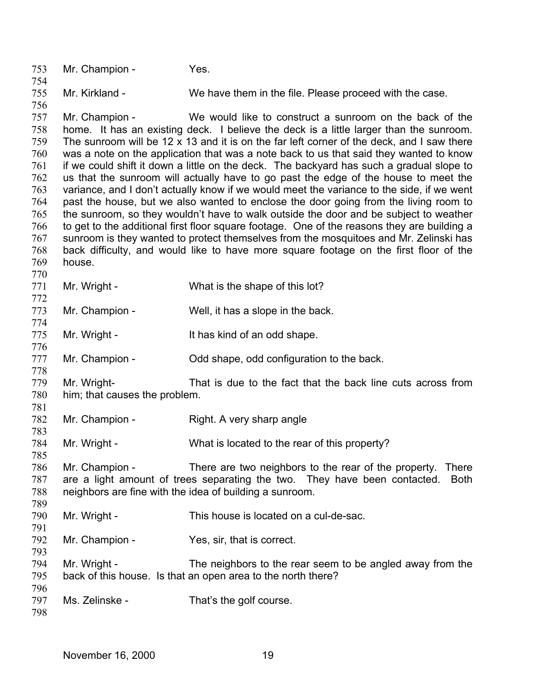753 754 755 756 757 758 759 760 761 762 763 764 765 766 767 768 769 770 771 772 773 774 775 776 777 778 779 780 781 782 783 784 785 786 787 788 789 790 791 792 793 794 795 796 797 798 Mr. Champion - Yes. Mr. Kirkland - We have them in the file. Please proceed with the case. Mr. Champion - We would like to construct a sunroom on the back of the home. It has an existing deck. I believe the deck is a little larger than the sunroom. The sunroom will be 12 x 13 and it is on the far left corner of the deck, and I saw there was a note on the application that was a note back to us that said they wanted to know if we could shift it down a little on the deck. The backyard has such a gradual slope to us that the sunroom will actually have to go past the edge of the house to meet the variance, and I don't actually know if we would meet the variance to the side, if we went past the house, but we also wanted to enclose the door going from the living room to the sunroom, so they wouldn't have to walk outside the door and be subject to weather to get to the additional first floor square footage. One of the reasons they are building a sunroom is they wanted to protect themselves from the mosquitoes and Mr. Zelinski has back difficulty, and would like to have more square footage on the first floor of the house. Mr. Wright - What is the shape of this lot? Mr. Champion - Well, it has a slope in the back. Mr. Wright - It has kind of an odd shape. Mr. Champion - Cold shape, odd configuration to the back. Mr. Wright- That is due to the fact that the back line cuts across from him; that causes the problem. Mr. Champion - Right. A very sharp angle Mr. Wright - What is located to the rear of this property? Mr. Champion - There are two neighbors to the rear of the property. There are a light amount of trees separating the two. They have been contacted. Both neighbors are fine with the idea of building a sunroom. Mr. Wright - This house is located on a cul-de-sac. Mr. Champion - Yes, sir, that is correct. Mr. Wright - The neighbors to the rear seem to be angled away from the back of this house. Is that an open area to the north there? Ms. Zelinske - That's the golf course.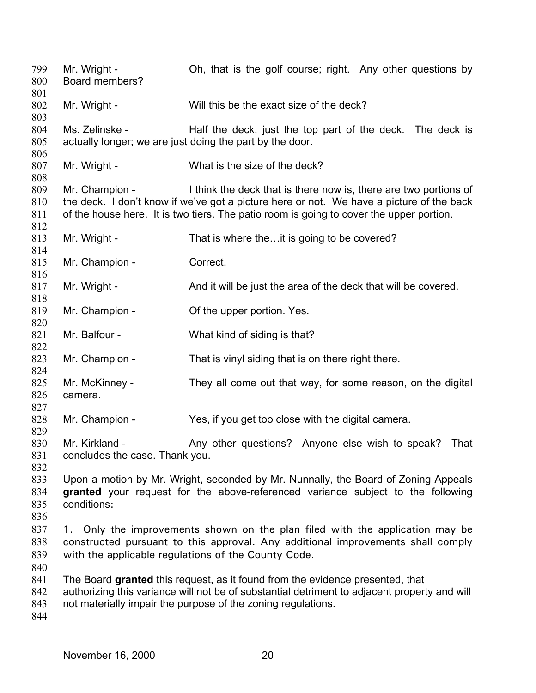Mr. Wright - Oh, that is the golf course; right. Any other questions by Board members? Mr. Wright - Will this be the exact size of the deck? Ms. Zelinske - Half the deck, just the top part of the deck. The deck is actually longer; we are just doing the part by the door. Mr. Wright - What is the size of the deck? Mr. Champion - I think the deck that is there now is, there are two portions of the deck. I don't know if we've got a picture here or not. We have a picture of the back of the house here. It is two tiers. The patio room is going to cover the upper portion. Mr. Wright - That is where the...it is going to be covered? Mr. Champion - Correct. Mr. Wright - And it will be just the area of the deck that will be covered. Mr. Champion - Cof the upper portion. Yes. Mr. Balfour - What kind of siding is that? Mr. Champion - That is vinyl siding that is on there right there. Mr. McKinney - They all come out that way, for some reason, on the digital camera. Mr. Champion - Yes, if you get too close with the digital camera. Mr. Kirkland - Any other questions? Anyone else wish to speak? That concludes the case. Thank you. Upon a motion by Mr. Wright, seconded by Mr. Nunnally, the Board of Zoning Appeals **granted** your request for the above-referenced variance subject to the following conditions: 1. Only the improvements shown on the plan filed with the application may be constructed pursuant to this approval. Any additional improvements shall comply with the applicable regulations of the County Code. The Board **granted** this request, as it found from the evidence presented, that authorizing this variance will not be of substantial detriment to adjacent property and will not materially impair the purpose of the zoning regulations.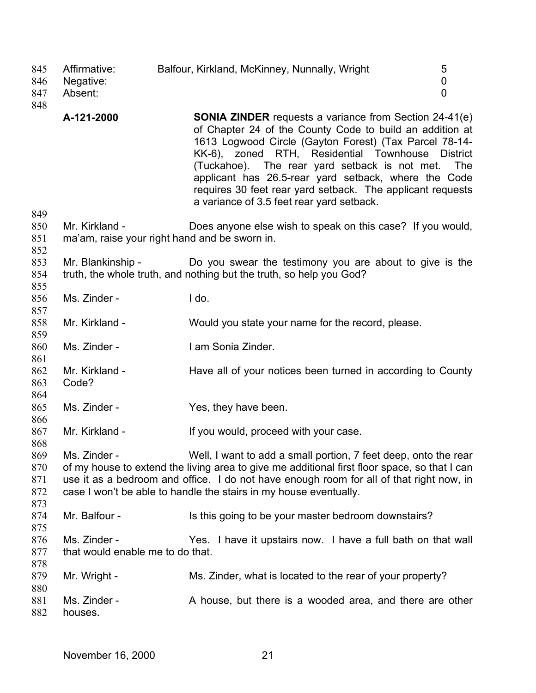| 845<br>846<br>847<br>848        | Affirmative:<br>Negative:<br>Absent:             | Balfour, Kirkland, McKinney, Nunnally, Wright                                                                                                                                                                                                                                                                                                                                                                                                          | 5<br>0<br>$\overline{0}$ |
|---------------------------------|--------------------------------------------------|--------------------------------------------------------------------------------------------------------------------------------------------------------------------------------------------------------------------------------------------------------------------------------------------------------------------------------------------------------------------------------------------------------------------------------------------------------|--------------------------|
| 849                             | A-121-2000                                       | <b>SONIA ZINDER</b> requests a variance from Section 24-41(e)<br>of Chapter 24 of the County Code to build an addition at<br>1613 Logwood Circle (Gayton Forest) (Tax Parcel 78-14-<br>KK-6), zoned RTH, Residential Townhouse<br>(Tuckahoe). The rear yard setback is not met. The<br>applicant has 26.5-rear yard setback, where the Code<br>requires 30 feet rear yard setback. The applicant requests<br>a variance of 3.5 feet rear yard setback. | <b>District</b>          |
| 850<br>851<br>852               | Mr. Kirkland -                                   | Does anyone else wish to speak on this case? If you would,<br>ma'am, raise your right hand and be sworn in.                                                                                                                                                                                                                                                                                                                                            |                          |
| 853<br>854<br>855               | Mr. Blankinship -                                | Do you swear the testimony you are about to give is the<br>truth, the whole truth, and nothing but the truth, so help you God?                                                                                                                                                                                                                                                                                                                         |                          |
| 856<br>857                      | Ms. Zinder -                                     | I do.                                                                                                                                                                                                                                                                                                                                                                                                                                                  |                          |
| 858<br>859                      | Mr. Kirkland -                                   | Would you state your name for the record, please.                                                                                                                                                                                                                                                                                                                                                                                                      |                          |
| 860<br>861                      | Ms. Zinder -                                     | I am Sonia Zinder.                                                                                                                                                                                                                                                                                                                                                                                                                                     |                          |
| 862<br>863<br>864               | Mr. Kirkland -<br>Code?                          | Have all of your notices been turned in according to County                                                                                                                                                                                                                                                                                                                                                                                            |                          |
| 865<br>866                      | Ms. Zinder -                                     | Yes, they have been.                                                                                                                                                                                                                                                                                                                                                                                                                                   |                          |
| 867<br>868                      | Mr. Kirkland -                                   | If you would, proceed with your case.                                                                                                                                                                                                                                                                                                                                                                                                                  |                          |
| 869<br>870<br>871<br>872<br>873 | Ms. Zinder -                                     | Well, I want to add a small portion, 7 feet deep, onto the rear<br>of my house to extend the living area to give me additional first floor space, so that I can<br>use it as a bedroom and office. I do not have enough room for all of that right now, in<br>case I won't be able to handle the stairs in my house eventually.                                                                                                                        |                          |
| 874<br>875                      | Mr. Balfour -                                    | Is this going to be your master bedroom downstairs?                                                                                                                                                                                                                                                                                                                                                                                                    |                          |
| 876<br>877<br>878               | Ms. Zinder -<br>that would enable me to do that. | Yes. I have it upstairs now. I have a full bath on that wall                                                                                                                                                                                                                                                                                                                                                                                           |                          |
| 879<br>880                      | Mr. Wright -                                     | Ms. Zinder, what is located to the rear of your property?                                                                                                                                                                                                                                                                                                                                                                                              |                          |
| 881<br>882                      | Ms. Zinder -<br>houses.                          | A house, but there is a wooded area, and there are other                                                                                                                                                                                                                                                                                                                                                                                               |                          |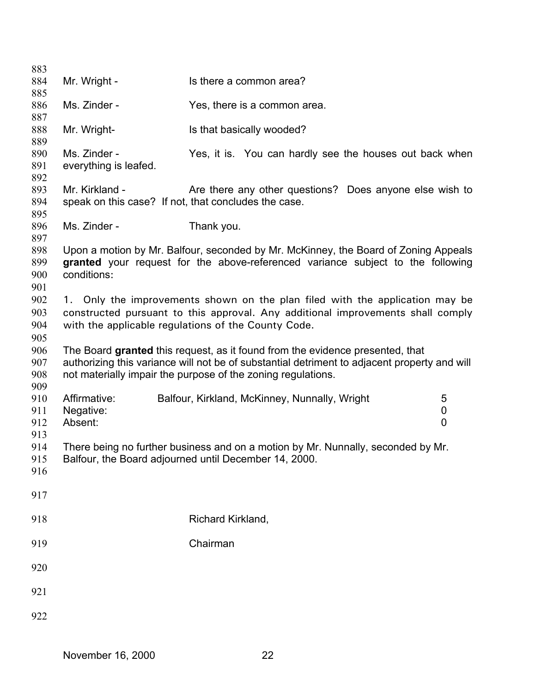| 883        |                                                      |                                                                                              |                |
|------------|------------------------------------------------------|----------------------------------------------------------------------------------------------|----------------|
| 884        | Mr. Wright -                                         | Is there a common area?                                                                      |                |
| 885        |                                                      |                                                                                              |                |
| 886        | Ms. Zinder -                                         | Yes, there is a common area.                                                                 |                |
| 887        |                                                      |                                                                                              |                |
| 888        | Mr. Wright-                                          | Is that basically wooded?                                                                    |                |
| 889        |                                                      |                                                                                              |                |
| 890        | Ms. Zinder -                                         | Yes, it is. You can hardly see the houses out back when                                      |                |
| 891        | everything is leafed.                                |                                                                                              |                |
| 892        |                                                      |                                                                                              |                |
| 893        | Mr. Kirkland -                                       | Are there any other questions? Does anyone else wish to                                      |                |
| 894<br>895 | speak on this case? If not, that concludes the case. |                                                                                              |                |
| 896        | Ms. Zinder -                                         | Thank you.                                                                                   |                |
| 897        |                                                      |                                                                                              |                |
| 898        |                                                      | Upon a motion by Mr. Balfour, seconded by Mr. McKinney, the Board of Zoning Appeals          |                |
| 899        |                                                      | granted your request for the above-referenced variance subject to the following              |                |
| 900        | conditions:                                          |                                                                                              |                |
| 901        |                                                      |                                                                                              |                |
| 902        |                                                      | 1. Only the improvements shown on the plan filed with the application may be                 |                |
| 903        |                                                      | constructed pursuant to this approval. Any additional improvements shall comply              |                |
| 904        |                                                      | with the applicable regulations of the County Code.                                          |                |
| 905        |                                                      |                                                                                              |                |
| 906        |                                                      | The Board granted this request, as it found from the evidence presented, that                |                |
| 907        |                                                      | authorizing this variance will not be of substantial detriment to adjacent property and will |                |
| 908        |                                                      | not materially impair the purpose of the zoning regulations.                                 |                |
| 909        |                                                      |                                                                                              |                |
| 910        | Affirmative:                                         | Balfour, Kirkland, McKinney, Nunnally, Wright                                                | 5              |
| 911        | Negative:                                            |                                                                                              | 0              |
| 912        | Absent:                                              |                                                                                              | $\overline{0}$ |
| 913        |                                                      |                                                                                              |                |
| 914        |                                                      | There being no further business and on a motion by Mr. Nunnally, seconded by Mr.             |                |
| 915        |                                                      | Balfour, the Board adjourned until December 14, 2000.                                        |                |
| 916        |                                                      |                                                                                              |                |
| 917        |                                                      |                                                                                              |                |
| 918        |                                                      | Richard Kirkland,                                                                            |                |
|            |                                                      |                                                                                              |                |
| 919        |                                                      | Chairman                                                                                     |                |
| 920        |                                                      |                                                                                              |                |
| 921        |                                                      |                                                                                              |                |
| 922        |                                                      |                                                                                              |                |